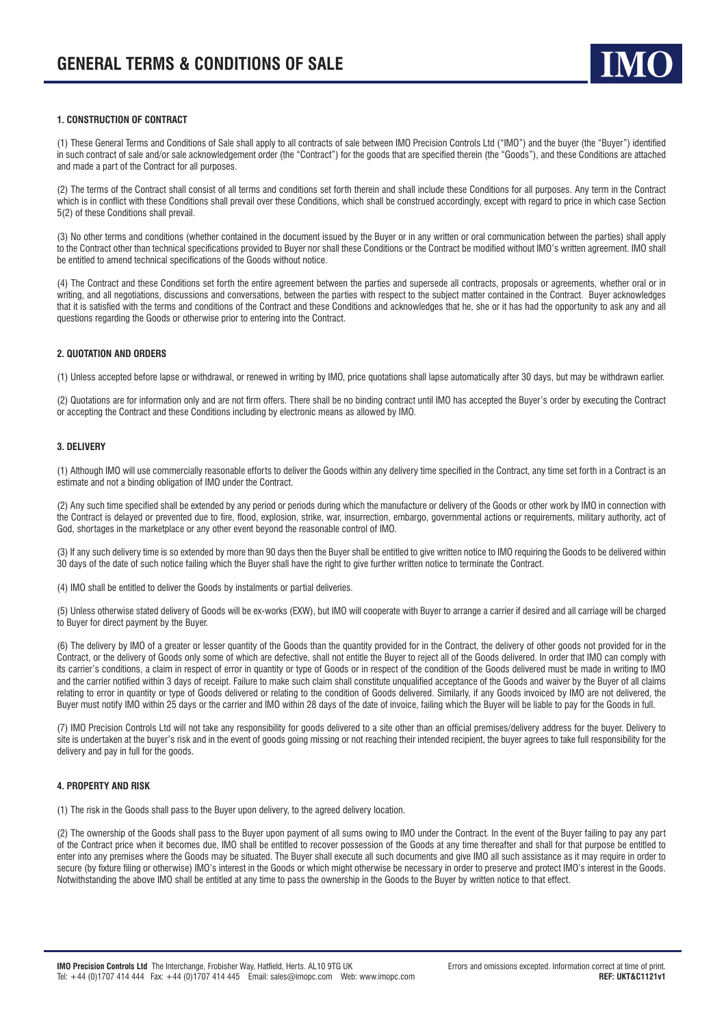

## **1. CONSTRUCTION OF CONTRACT**

(1) These General Terms and Conditions of Sale shall apply to all contracts of sale between IMO Precision Controls Ltd ("IMO") and the buyer (the "Buyer") identified in such contract of sale and/or sale acknowledgement order (the "Contract") for the goods that are specified therein (the "Goods"), and these Conditions are attached and made a part of the Contract for all purposes.

(2) The terms of the Contract shall consist of all terms and conditions set forth therein and shall include these Conditions for all purposes. Any term in the Contract which is in conflict with these Conditions shall prevail over these Conditions, which shall be construed accordingly, except with regard to price in which case Section 5(2) of these Conditions shall prevail.

(3) No other terms and conditions (whether contained in the document issued by the Buyer or in any written or oral communication between the parties) shall apply to the Contract other than technical specifications provided to Buyer nor shall these Conditions or the Contract be modified without IMO's written agreement. IMO shall be entitled to amend technical specifications of the Goods without notice.

(4) The Contract and these Conditions set forth the entire agreement between the parties and supersede all contracts, proposals or agreements, whether oral or in writing, and all negotiations, discussions and conversations, between the parties with respect to the subject matter contained in the Contract. Buyer acknowledges that it is satisfied with the terms and conditions of the Contract and these Conditions and acknowledges that he, she or it has had the opportunity to ask any and all questions regarding the Goods or otherwise prior to entering into the Contract.

## **2. QUOTATION AND ORDERS**

(1) Unless accepted before lapse or withdrawal, or renewed in writing by IMO, price quotations shall lapse automatically after 30 days, but may be withdrawn earlier.

(2) Quotations are for information only and are not firm offers. There shall be no binding contract until IMO has accepted the Buyer's order by executing the Contract or accepting the Contract and these Conditions including by electronic means as allowed by IMO.

## **3. DELIVERY**

(1) Although IMO will use commercially reasonable efforts to deliver the Goods within any delivery time specified in the Contract, any time set forth in a Contract is an estimate and not a binding obligation of IMO under the Contract.

(2) Any such time specified shall be extended by any period or periods during which the manufacture or delivery of the Goods or other work by IMO in connection with the Contract is delayed or prevented due to fire, flood, explosion, strike, war, insurrection, embargo, governmental actions or requirements, military authority, act of God, shortages in the marketplace or any other event beyond the reasonable control of IMO.

(3) If any such delivery time is so extended by more than 90 days then the Buyer shall be entitled to give written notice to IMO requiring the Goods to be delivered within 30 days of the date of such notice failing which the Buyer shall have the right to give further written notice to terminate the Contract.

(4) IMO shall be entitled to deliver the Goods by instalments or partial deliveries.

(5) Unless otherwise stated delivery of Goods will be ex-works (EXW), but IMO will cooperate with Buyer to arrange a carrier if desired and all carriage will be charged to Buyer for direct payment by the Buyer.

(6) The delivery by IMO of a greater or lesser quantity of the Goods than the quantity provided for in the Contract, the delivery of other goods not provided for in the Contract, or the delivery of Goods only some of which are defective, shall not entitle the Buyer to reject all of the Goods delivered. In order that IMO can comply with its carrier's conditions, a claim in respect of error in quantity or type of Goods or in respect of the condition of the Goods delivered must be made in writing to IMO and the carrier notified within 3 days of receipt. Failure to make such claim shall constitute unqualified acceptance of the Goods and waiver by the Buyer of all claims relating to error in quantity or type of Goods delivered or relating to the condition of Goods delivered. Similarly, if any Goods invoiced by IMO are not delivered, the Buyer must notify IMO within 25 days or the carrier and IMO within 28 days of the date of invoice, failing which the Buyer will be liable to pay for the Goods in full.

(7) IMO Precision Controls Ltd will not take any responsibility for goods delivered to a site other than an official premises/delivery address for the buyer. Delivery to site is undertaken at the buyer's risk and in the event of goods going missing or not reaching their intended recipient, the buyer agrees to take full responsibility for the delivery and pay in full for the goods.

## **4. PROPERTY AND RISK**

(1) The risk in the Goods shall pass to the Buyer upon delivery, to the agreed delivery location.

(2) The ownership of the Goods shall pass to the Buyer upon payment of all sums owing to IMO under the Contract. In the event of the Buyer failing to pay any part of the Contract price when it becomes due, IMO shall be entitled to recover possession of the Goods at any time thereafter and shall for that purpose be entitled to enter into any premises where the Goods may be situated. The Buyer shall execute all such documents and give IMO all such assistance as it may require in order to secure (by fixture filing or otherwise) IMO's interest in the Goods or which might otherwise be necessary in order to preserve and protect IMO's interest in the Goods. Notwithstanding the above IMO shall be entitled at any time to pass the ownership in the Goods to the Buyer by written notice to that effect.